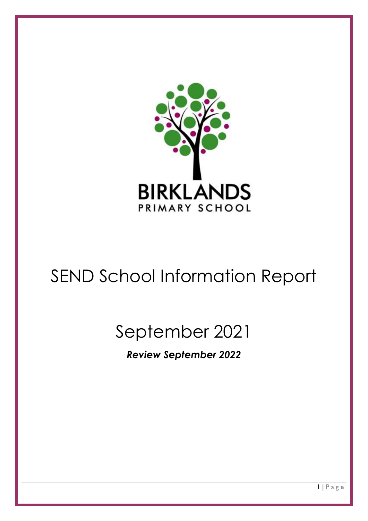

# SEND School Information Report

# September 2021

*Review September 2022*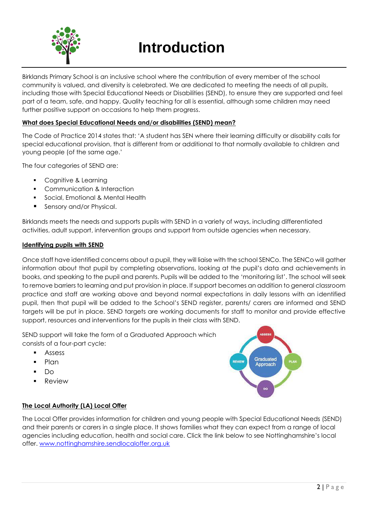

## **Introduction**

Birklands Primary School is an inclusive school where the contribution of every member of the school community is valued, and diversity is celebrated. We are dedicated to meeting the needs of all pupils, including those with Special Educational Needs or Disabilities (SEND), to ensure they are supported and feel part of a team, safe, and happy. Quality teaching for all is essential, although some children may need further positive support on occasions to help them progress.

#### **What does Special Educational Needs and/or disabilities (SEND) mean?**

The Code of Practice 2014 states that: 'A student has SEN where their learning difficulty or disability calls for special educational provision, that is different from or additional to that normally available to children and young people (of the same age.'

The four categories of SEND are:

- **Cognitive & Learning**
- **•** Communication & Interaction
- Social, Emotional & Mental Health
- **Sensory and/or Physical.**

Birklands meets the needs and supports pupils with SEND in a variety of ways, including differentiated activities, adult support, intervention groups and support from outside agencies when necessary.

#### **Identifying pupils with SEND**

Once staff have identified concerns about a pupil, they will liaise with the school SENCo. The SENCo will gather information about that pupil by completing observations, looking at the pupil's data and achievements in books, and speaking to the pupil and parents. Pupils will be added to the 'monitoring list'. The school will seek to remove barriers to learning and put provision in place. If support becomes an addition to general classroom practice and staff are working above and beyond normal expectations in daily lessons with an identified pupil, then that pupil will be added to the School's SEND register, parents/ carers are informed and SEND targets will be put in place. SEND targets are working documents for staff to monitor and provide effective support, resources and interventions for the pupils in their class with SEND.

SEND support will take the form of a Graduated Approach which consists of a four-part cycle:

- **Assess**
- Plan
- Do
- Review



#### **The Local Authority (LA) Local Offer**

The Local Offer provides information for children and young people with Special Educational Needs (SEND) and their parents or carers in a single place. It shows families what they can expect from a range of local agencies including education, health and social care. Click the link below to see Nottinghamshire's local offer. [www.nottinghamshire.sendlocaloffer.org.uk](http://www.nottinghamshire.sendlocaloffer.org.uk/)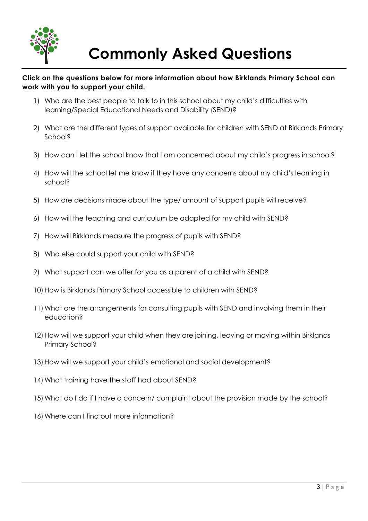

## **Commonly Asked Questions**

#### **Click on the questions below for more information about how Birklands Primary School can work with you to support your child.**

- 1) Who are [the best people to talk to in this school about my child's difficulties with](#page-3-0)  [learning/Special Educational Needs and Disability \(SEND\)?](#page-3-0)
- 2) [What are the different types of support available for children with SEND at Birklands Primary](#page-3-1)  [School?](#page-3-1)
- 3) [How can I let the school know that I am concerned about my child's progress in school?](#page-5-0)
- 4) [How will the school let me know if they have any concerns about my child's learning in](#page-5-1)  [school?](#page-5-1)
- 5) [How are decisions made about the type/ amount of support pupils will receive?](#page-5-2)
- 6) [How will the teaching and curriculum be adapted for my child with SEND?](#page-5-3)
- 7) [How will Birklands measure the progress of pupils with SEND?](#page-6-0)
- 8) [Who else could support your child with SEND?](#page-6-1)
- 9) [What support can we offer for you as a parent of a child with SEND?](#page-7-0)
- 10) How is Birklands Primary School accessible to children with SEND?
- [11\)What are the arrangements for consulting pupils with SEND and involving them in their](#page-7-2)  [education?](#page-7-2)
- 12) How will we support your child when they are joining, leaving or moving within Birklands [Primary School?](#page-8-0)
- 13)[How will we support your child's emotional and social development?](#page-9-0)
- 14) What training have the staff had about SEND?
- 15[\)What do I do if I have a concern/ complaint about the provision made by the school?](#page-10-0)
- 16) Where can I find out more information?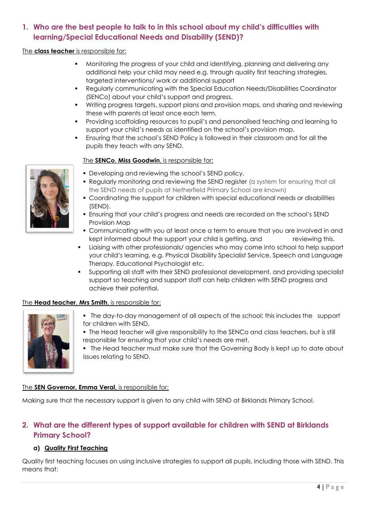## <span id="page-3-0"></span>**1. Who are the best people to talk to in this school about my child's difficulties with learning/Special Educational Needs and Disability (SEND)?**

#### The **class teacher** is responsible for:

- Monitoring the progress of your child and identifying, planning and delivering any additional help your child may need e.g. through quality first teaching strategies, targeted interventions/ work or additional support
- Regularly communicating with the Special Education Needs/Disabilities Coordinator (SENCo) about your child's support and progress.
- **Writing progress targets, support plans and provision maps, and sharing and reviewing** these with parents at least once each term.
- Providing scaffolding resources to pupil's and personalised teaching and learning to support your child's needs as identified on the school's provision map.
- Ensuring that the school's SEND Policy is followed in their classroom and for all the pupils they teach with any SEND.

#### The **SENCo**, **Miss Goodwin**, is responsible for:

- **Developing and reviewing the school's SEND policy.**
- Regularly monitoring and reviewing the SEND register (a system for ensuring that all the SEND needs of pupils at Netherfield Primary School are known)
- Coordinating the support for children with special educational needs or disabilities (SEND).
- Ensuring that your child's progress and needs are recorded on the school's SEND Provision Map
- Communicating with you at least once a term to ensure that you are involved in and kept informed about the support your child is getting, and reviewing this.
- Liaising with other professionals/ agencies who may come into school to help support your child's learning, e.g. Physical Disability Specialist Service, Speech and Language Therapy, Educational Psychologist etc.
- Supporting all staff with their SEND professional development, and providing specialist support so teaching and support staff can help children with SEND progress and achieve their potential.

#### The **Head teacher**, **Mrs Smith**, is responsible for:



- The day-to-day management of all aspects of the school; this includes the support for children with SEND.
- The Head teacher will give responsibility to the SENCo and class teachers, but is still responsible for ensuring that your child's needs are met.
- The Head teacher must make sure that the Governing Body is kept up to date about issues relating to SEND.

#### The **SEN Governor, Emma Veral,** is responsible for:

Making sure that the necessary support is given to any child with SEND at Birklands Primary School.

## <span id="page-3-1"></span>**2. What are the different types of support available for children with SEND at Birklands Primary School?**

#### **a) Quality First Teaching**

Quality first teaching focuses on using inclusive strategies to support all pupils, including those with SEND. This means that:

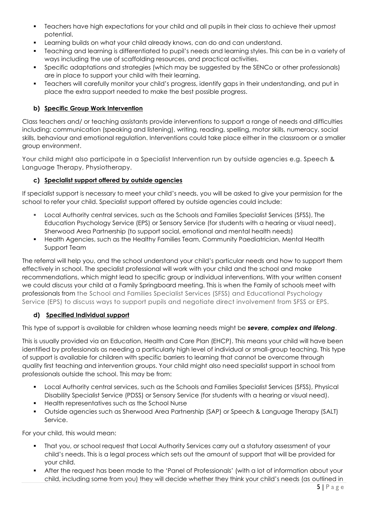- Teachers have high expectations for your child and all pupils in their class to achieve their upmost potential.
- Learning builds on what your child already knows, can do and can understand.
- Teaching and learning is differentiated to pupil's needs and learning styles. This can be in a variety of ways including the use of scaffolding resources, and practical activities.
- Specific adaptations and strategies (which may be suggested by the SENCo or other professionals) are in place to support your child with their learning.
- Teachers will carefully monitor your child's progress, identify gaps in their understanding, and put in place the extra support needed to make the best possible progress.

#### **b) Specific Group Work Intervention**

Class teachers and/ or teaching assistants provide interventions to support a range of needs and difficulties including: communication (speaking and listening), writing, reading, spelling, motor skills, numeracy, social skills, behaviour and emotional regulation. Interventions could take place either in the classroom or a smaller group environment.

Your child might also participate in a Specialist Intervention run by outside agencies e.g. Speech & Language Therapy, Physiotherapy.

#### **c) Specialist support offered by outside agencies**

If specialist support is necessary to meet your child's needs, you will be asked to give your permission for the school to refer your child. Specialist support offered by outside agencies could include:

- Local Authority central services, such as the Schools and Families Specialist Services (SFSS), The Education Psychology Service (EPS) or Sensory Service (for students with a hearing or visual need), Sherwood Area Partnership (to support social, emotional and mental health needs)
- Health Agencies, such as the Healthy Families Team, Community Paediatrician, Mental Health Support Team

The referral will help you, and the school understand your child's particular needs and how to support them effectively in school. The specialist professional will work with your child and the school and make recommendations, which might lead to specific group or individual interventions. With your written consent we could discuss your child at a Family Springboard meeting. This is when the Family of schools meet with professionals from the School and Families Specialist Services (SFSS) and Educational Psychology Service (EPS) to discuss ways to support pupils and negotiate direct involvement from SFSS or EPS.

#### **d) Specified Individual support**

This type of support is available for children whose learning needs might be *severe, complex and lifelong*.

This is usually provided via an Education, Health and Care Plan (EHCP). This means your child will have been identified by professionals as needing a particularly high level of individual or small-group teaching. This type of support is available for children with specific barriers to learning that cannot be overcome through quality first teaching and intervention groups. Your child might also need specialist support in school from professionals outside the school. This may be from:

- Local Authority central services, such as the Schools and Families Specialist Services (SFSS), Physical Disability Specialist Service (PDSS) or Sensory Service (for students with a hearing or visual need).
- Health representatives such as the School Nurse
- Outside agencies such as Sherwood Area Partnership (SAP) or Speech & Language Therapy (SALT) Service.

For your child, this would mean:

- That you, or school request that Local Authority Services carry out a statutory assessment of your child's needs. This is a legal process which sets out the amount of support that will be provided for your child.
- After the request has been made to the 'Panel of Professionals' (with a lot of information about your child, including some from you) they will decide whether they think your child's needs (as outlined in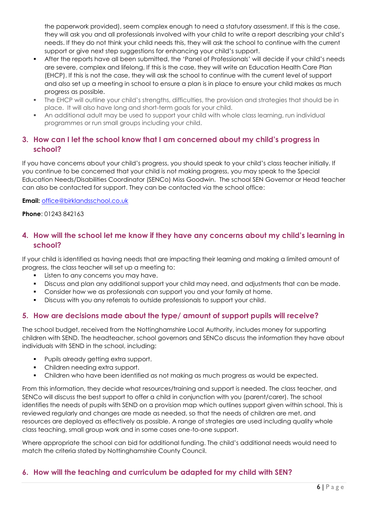the paperwork provided), seem complex enough to need a statutory assessment. If this is the case, they will ask you and all professionals involved with your child to write a report describing your child's needs. If they do not think your child needs this, they will ask the school to continue with the current support or give next step suggestions for enhancing your child's support.

- After the reports have all been submitted, the 'Panel of Professionals' will decide if your child's needs are severe, complex and lifelong. If this is the case, they will write an Education Health Care Plan (EHCP). If this is not the case, they will ask the school to continue with the current level of support and also set up a meeting in school to ensure a plan is in place to ensure your child makes as much progress as possible.
- The EHCP will outline your child's strengths, difficulties, the provision and strategies that should be in place. It will also have long and short-term goals for your child.
- An additional adult may be used to support your child with whole class learning, run individual programmes or run small groups including your child.

## <span id="page-5-0"></span>**3. How can I let the school know that I am concerned about my child's progress in school?**

If you have concerns about your child's progress, you should speak to your child's class teacher initially. If you continue to be concerned that your child is not making progress, you may speak to the Special Education Needs/Disabilities Coordinator (SENCo) Miss Goodwin. The school SEN Governor or Head teacher can also be contacted for support. They can be contacted via the school office:

**Email:** [office@birklandsschool.co.uk](mailto:office@birklandsschool.co.uk)

**Phone**: 01243 842163

## <span id="page-5-1"></span>**4. How will the school let me know if they have any concerns about my child's learning in school?**

If your child is identified as having needs that are impacting their learning and making a limited amount of progress, the class teacher will set up a meeting to:

- **Listen to any concerns you may have.**
- Discuss and plan any additional support your child may need, and adjustments that can be made.
- Consider how we as professionals can support you and your family at home.
- Discuss with you any referrals to outside professionals to support your child.

#### <span id="page-5-2"></span>**5. How are decisions made about the type/ amount of support pupils will receive?**

The school budget, received from the Nottinghamshire Local Authority, includes money for supporting children with SEND. The headteacher, school governors and SENCo discuss the information they have about individuals with SEND in the school, including:

- Pupils already getting extra support.
- Children needing extra support.
- Children who have been identified as not making as much progress as would be expected.

From this information, they decide what resources/training and support is needed. The class teacher, and SENCo will discuss the best support to offer a child in conjunction with you (parent/carer). The school identifies the needs of pupils with SEND on a provision map which outlines support given within school. This is reviewed regularly and changes are made as needed, so that the needs of children are met, and resources are deployed as effectively as possible. A range of strategies are used including quality whole class teaching, small group work and in some cases one-to-one support.

Where appropriate the school can bid for additional funding. The child's additional needs would need to match the criteria stated by Nottinghamshire County Council.

#### <span id="page-5-3"></span>**6. How will the teaching and curriculum be adapted for my child with SEN?**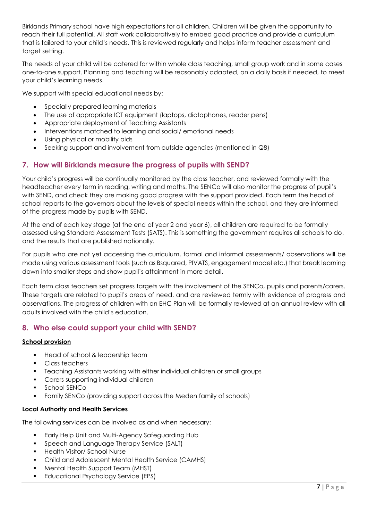Birklands Primary school have high expectations for all children. Children will be given the opportunity to reach their full potential. All staff work collaboratively to embed good practice and provide a curriculum that is tailored to your child's needs. This is reviewed regularly and helps inform teacher assessment and target setting.

The needs of your child will be catered for within whole class teaching, small group work and in some cases one-to-one support. Planning and teaching will be reasonably adapted, on a daily basis if needed, to meet your child's learning needs.

We support with special educational needs by:

- Specially prepared learning materials
- The use of appropriate ICT equipment (laptops, dictaphones, reader pens)
- Appropriate deployment of Teaching Assistants
- Interventions matched to learning and social/ emotional needs
- Using physical or mobility aids
- Seeking support and involvement from outside agencies (mentioned in Q8)

## <span id="page-6-0"></span>**7. How will Birklands measure the progress of pupils with SEND?**

Your child's progress will be continually monitored by the class teacher, and reviewed formally with the headteacher every term in reading, writing and maths. The SENCo will also monitor the progress of pupil's with SEND, and check they are making good progress with the support provided. Each term the head of school reports to the governors about the levels of special needs within the school, and they are informed of the progress made by pupils with SEND.

At the end of each key stage (at the end of year 2 and year 6), all children are required to be formally assessed using Standard Assessment Tests (SATS). This is something the government requires all schools to do, and the results that are published nationally.

For pupils who are not yet accessing the curriculum, formal and informal assessments/ observations will be made using various assessment tools (such as Bsquared, PIVATS, engagement model etc.) that break learning down into smaller steps and show pupil's attainment in more detail.

Each term class teachers set progress targets with the involvement of the SENCo, pupils and parents/carers. These targets are related to pupil's areas of need, and are reviewed termly with evidence of progress and observations. The progress of children with an EHC Plan will be formally reviewed at an annual review with all adults involved with the child's education.

## <span id="page-6-1"></span>**8. Who else could support your child with SEND?**

#### **School provision**

- Head of school & leadership team
- Class teachers
- Teaching Assistants working with either individual children or small groups
- **Carers supporting individual children**
- School SENCo
- Family SENCo (providing support across the Meden family of schools)

#### **Local Authority and Health Services**

The following services can be involved as and when necessary:

- **Early Help Unit and Multi-Agency Safeguarding Hub**
- **Speech and Language Therapy Service (SALT)**
- Health Visitor/ School Nurse
- Child and Adolescent Mental Health Service (CAMHS)
- Mental Health Support Team (MHST)
- **Educational Psychology Service (EPS)**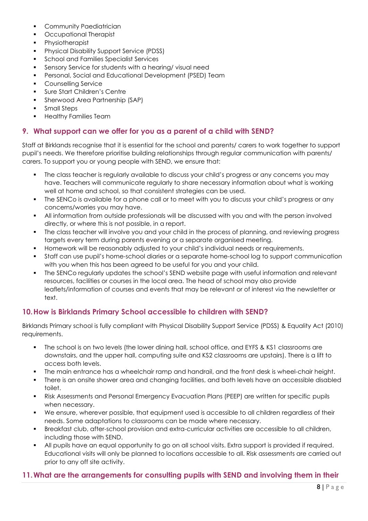- **•** Community Paediatrician
- Occupational Therapist
- **•** Physiotherapist
- **Physical Disability Support Service (PDSS)**
- School and Families Specialist Services
- Sensory Service for students with a hearing/ visual need
- Personal, Social and Educational Development (PSED) Team
- Counselling Service
- **Sure Start Children's Centre**
- **Sherwood Area Partnership (SAP)**
- Small Steps
- Healthy Families Team

#### <span id="page-7-0"></span>**9. What support can we offer for you as a parent of a child with SEND?**

Staff at Birklands recognise that it is essential for the school and parents/ carers to work together to support pupil's needs. We therefore prioritise building relationships through regular communication with parents/ carers. To support you or young people with SEND, we ensure that:

- The class teacher is regularly available to discuss your child's progress or any concerns you may have. Teachers will communicate regularly to share necessary information about what is working well at home and school, so that consistent strategies can be used.
- The SENCo is available for a phone call or to meet with you to discuss your child's progress or any concerns/worries you may have.
- All information from outside professionals will be discussed with you and with the person involved directly, or where this is not possible, in a report.
- The class teacher will involve you and your child in the process of planning, and reviewing progress targets every term during parents evening or a separate organised meeting.
- Homework will be reasonably adjusted to your child's individual needs or requirements.
- Staff can use pupil's home-school diaries or a separate home-school log to support communication with you when this has been agreed to be useful for you and your child.
- The SENCo regularly updates the school's SEND website page with useful information and relevant resources, facilities or courses in the local area. The head of school may also provide leaflets/information of courses and events that may be relevant or of interest via the newsletter or text.

## <span id="page-7-1"></span>**10.How is Birklands Primary School accessible to children with SEND?**

Birklands Primary school is fully compliant with Physical Disability Support Service (PDSS) & Equality Act (2010) requirements.

- The school is on two levels (the lower dining hall, school office, and EYFS & KS1 classrooms are downstairs, and the upper hall, computing suite and KS2 classrooms are upstairs). There is a lift to access both levels.
- The main entrance has a wheelchair ramp and handrail, and the front desk is wheel-chair height.
- There is an onsite shower area and changing facilities, and both levels have an accessible disabled toilet.
- Risk Assessments and Personal Emergency Evacuation Plans (PEEP) are written for specific pupils when necessary.
- We ensure, wherever possible, that equipment used is accessible to all children regardless of their needs. Some adaptations to classrooms can be made where necessary.
- Breakfast club, after-school provision and extra-curricular activities are accessible to all children, including those with SEND.
- All pupils have an equal opportunity to go on all school visits. Extra support is provided if required. Educational visits will only be planned to locations accessible to all. Risk assessments are carried out prior to any off site activity.

## <span id="page-7-2"></span>**11.What are the arrangements for consulting pupils with SEND and involving them in their**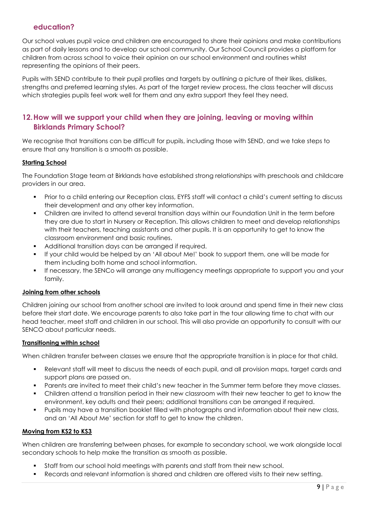## **education?**

Our school values pupil voice and children are encouraged to share their opinions and make contributions as part of daily lessons and to develop our school community. Our School Council provides a platform for children from across school to voice their opinion on our school environment and routines whilst representing the opinions of their peers.

Pupils with SEND contribute to their pupil profiles and targets by outlining a picture of their likes, dislikes, strengths and preferred learning styles. As part of the target review process, the class teacher will discuss which strategies pupils feel work well for them and any extra support they feel they need.

## <span id="page-8-0"></span>**12.How will we support your child when they are joining, leaving or moving within Birklands Primary School?**

We recognise that transitions can be difficult for pupils, including those with SEND, and we take steps to ensure that any transition is a smooth as possible.

#### **Starting School**

The Foundation Stage team at Birklands have established strong relationships with preschools and childcare providers in our area.

- Prior to a child entering our Reception class, EYFS staff will contact a child's current setting to discuss their development and any other key information.
- Children are invited to attend several transition days within our Foundation Unit in the term before they are due to start in Nursery or Reception. This allows children to meet and develop relationships with their teachers, teaching assistants and other pupils. It is an opportunity to get to know the classroom environment and basic routines.
- Additional transition days can be arranged if required.
- If your child would be helped by an 'All about Me!' book to support them, one will be made for them including both home and school information.
- If necessary, the SENCo will arrange any multiagency meetings appropriate to support you and your family.

#### **Joining from other schools**

Children joining our school from another school are invited to look around and spend time in their new class before their start date. We encourage parents to also take part in the tour allowing time to chat with our head teacher, meet staff and children in our school. This will also provide an opportunity to consult with our SENCO about particular needs.

#### **Transitioning within school**

When children transfer between classes we ensure that the appropriate transition is in place for that child.

- Relevant staff will meet to discuss the needs of each pupil, and all provision maps, target cards and support plans are passed on.
- Parents are invited to meet their child's new teacher in the Summer term before they move classes.
- Children attend a transition period in their new classroom with their new teacher to get to know the environment, key adults and their peers; additional transitions can be arranged if required.
- Pupils may have a transition booklet filled with photographs and information about their new class, and an 'All About Me' section for staff to get to know the children.

#### **Moving from KS2 to KS3**

When children are transferring between phases, for example to secondary school, we work alongside local secondary schools to help make the transition as smooth as possible.

- Staff from our school hold meetings with parents and staff from their new school.
- Records and relevant information is shared and children are offered visits to their new setting.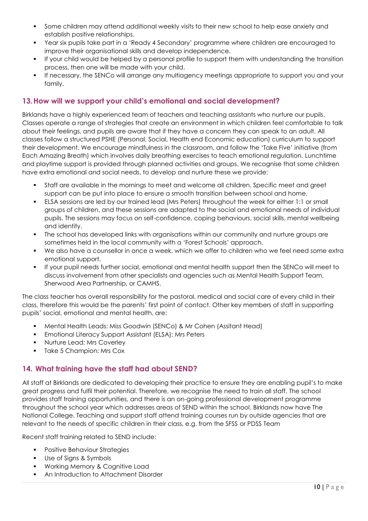- Some children may attend additional weekly visits to their new school to help ease anxiety and establish positive relationships.
- Year six pupils take part in a 'Ready 4 Secondary' programme where children are encouraged to improve their organisational skills and develop independence.
- If your child would be helped by a personal profile to support them with understanding the transition process, then one will be made with your child.
- If necessary, the SENCo will arrange any multiagency meetings appropriate to support you and your family.

## <span id="page-9-0"></span>**13.How will we support your child's emotional and social development?**

Birklands have a highly experienced team of teachers and teaching assistants who nurture our pupils. Classes operate a range of strategies that create an environment in which children feel comfortable to talk about their feelings, and pupils are aware that if they have a concern they can speak to an adult. All classes follow a structured PSHE (Personal, Social, Health end Economic education) curriculum to support their development. We encourage mindfulness in the classroom, and follow the 'Take Five' initiative (from Each Amazing Breath) which involves daily breathing exercises to teach emotional regulation. Lunchtime and playtime support is provided through planned activities and groups. We recognise that some children have extra emotional and social needs, to develop and nurture these we provide:

- Staff are available in the mornings to meet and welcome all children. Specific meet and greet support can be put into place to ensure a smooth transition between school and home.
- ELSA sessions are led by our trained lead (Mrs Peters) throughout the week for either 1:1 or small groups of children, and these sessions are adapted to the social and emotional needs of individual pupils. The sessions may focus on self-confidence, coping behaviours, social skills, mental wellbeing and identity.
- The school has developed links with organisations within our community and nurture groups are sometimes held in the local community with a 'Forest Schools' approach.
- We also have a counsellor in once a week, which we offer to children who we feel need some extra emotional support.
- If your pupil needs further social, emotional and mental health support then the SENCo will meet to discuss involvement from other specialists and agencies such as Mental Health Support Team, Sherwood Area Partnership, or CAMHS.

The class teacher has overall responsibility for the pastoral, medical and social care of every child in their class, therefore this would be the parents' first point of contact. Other key members of staff in supporting pupils' social, emotional and mental health, are:

- Mental Health Leads: Miss Goodwin (SENCo) & Mr Cohen (Assitant Head)
- Emotional Literacy Support Assistant (ELSA): Mrs Peters
- Nurture Lead: Mrs Coverley
- Take 5 Champion: Mrs Cox

## <span id="page-9-1"></span>**14. What training have the staff had about SEND?**

All staff at Birklands are dedicated to developing their practice to ensure they are enabling pupil's to make great progress and fulfil their potential. Therefore, we recognise the need to train all staff. The school provides staff training opportunities, and there is an on-going professional development programme throughout the school year which addresses areas of SEND within the school. Birklands now have The National College. Teaching and support staff attend training courses run by outside agencies that are relevant to the needs of specific children in their class, e.g. from the SFSS or PDSS Team

Recent staff training related to SEND include:

- Positive Behaviour Strategies
- Use of Signs & Symbols
- Working Memory & Cognitive Load
- An Introduction to Attachment Disorder